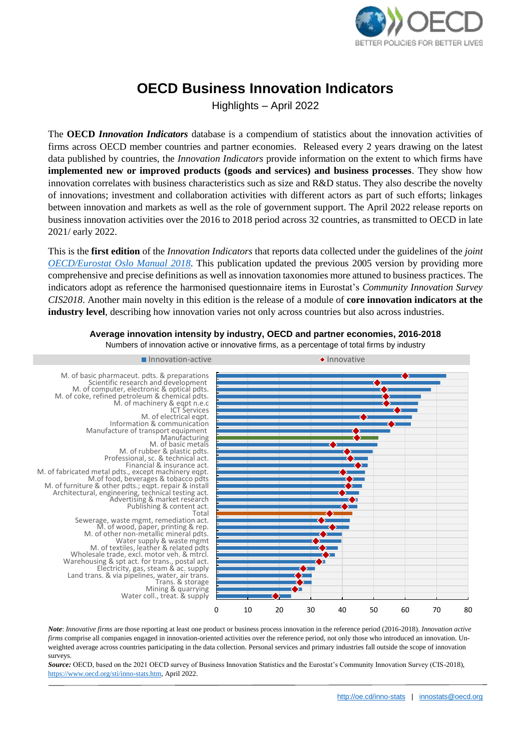

# **OECD Business Innovation Indicators**

Highlights – April 2022

The **OECD** *Innovation Indicators* database is a compendium of statistics about the innovation activities of firms across OECD member countries and partner economies. Released every 2 years drawing on the latest data published by countries, the *Innovation Indicators* provide information on the extent to which firms have **implemented new or improved products (goods and services) and business processes**. They show how innovation correlates with business characteristics such as size and R&D status. They also describe the novelty of innovations; investment and collaboration activities with different actors as part of such efforts; linkages between innovation and markets as well as the role of government support. The April 2022 release reports on business innovation activities over the 2016 to 2018 period across 32 countries, as transmitted to OECD in late 2021/ early 2022.

This is the **first edition** of the *Innovation Indicators* that reports data collected under the guidelines of the *joint [OECD/Eurostat Oslo Manual 2018](https://www.oecd.org/science/oslo-manual-2018-9789264304604-en.htm)*. This publication updated the previous 2005 version by providing more comprehensive and precise definitions as well as innovation taxonomies more attuned to business practices. The indicators adopt as reference the harmonised questionnaire items in Eurostat's *Community Innovation Survey CIS2018*. Another main novelty in this edition is the release of a module of **core innovation indicators at the industry level**, describing how innovation varies not only across countries but also across industries.



## **Average innovation intensity by industry, OECD and partner economies, 2016-2018**

Numbers of innovation active or innovative firms, as a percentage of total firms by industry

*Note*: *Innovative firms* are those reporting at least one product or business process innovation in the reference period (2016-2018). *Innovation active firms* comprise all companies engaged in innovation-oriented activities over the reference period, not only those who introduced an innovation. Unweighted average across countries participating in the data collection. Personal services and primary industries fall outside the scope of innovation surveys.

*Source:* OECD, based on the 2021 OECD survey of Business Innovation Statistics and the Eurostat's Community Innovation Survey (CIS-2018), [https://www.oecd.org/sti/inno-stats.htm,](https://www.oecd.org/sti/inno-stats.htm) April 2022.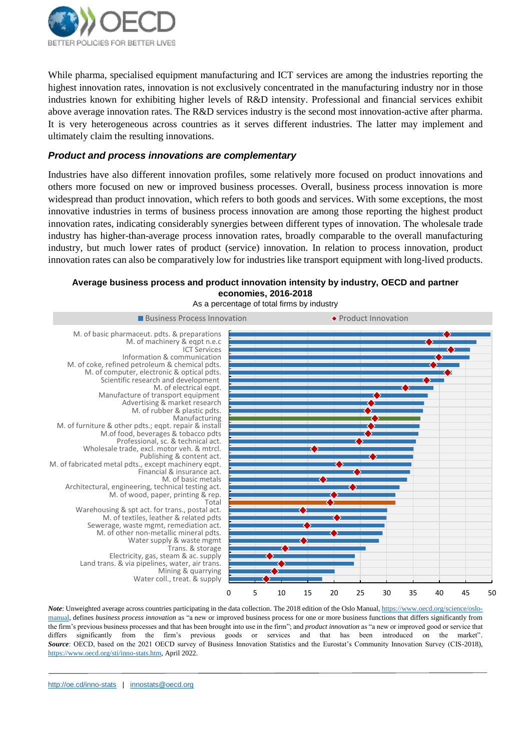

While pharma, specialised equipment manufacturing and ICT services are among the industries reporting the highest innovation rates, innovation is not exclusively concentrated in the manufacturing industry nor in those industries known for exhibiting higher levels of R&D intensity. Professional and financial services exhibit above average innovation rates. The R&D services industry is the second most innovation-active after pharma. It is very heterogeneous across countries as it serves different industries. The latter may implement and ultimately claim the resulting innovations.

#### *Product and process innovations are complementary*

Industries have also different innovation profiles, some relatively more focused on product innovations and others more focused on new or improved business processes. Overall, business process innovation is more widespread than product innovation, which refers to both goods and services. With some exceptions, the most innovative industries in terms of business process innovation are among those reporting the highest product innovation rates, indicating considerably synergies between different types of innovation. The wholesale trade industry has higher-than-average process innovation rates, broadly comparable to the overall manufacturing industry, but much lower rates of product (service) innovation. In relation to process innovation, product innovation rates can also be comparatively low for industries like transport equipment with long-lived products.

#### **Average business process and product innovation intensity by industry, OECD and partner economies, 2016-2018**



*Note*: Unweighted average across countries participating in the data collection. The 2018 edition of the Oslo Manual[, https://www.oecd.org/science/oslo](https://www.oecd.org/science/oslo-manual-2018-9789264304604-en.htm)[manual,](https://www.oecd.org/science/oslo-manual-2018-9789264304604-en.htm) defines *business process innovation* as "a new or improved business process for one or more business functions that differs significantly from the firm's previous business processes and that has been brought into use in the firm"; and *product innovation* as "a new or improved good or service that differs significantly from the firm's previous goods or services and that has been introduced on the market". *Source*: OECD, based on the 2021 OECD survey of Business Innovation Statistics and the Eurostat's Community Innovation Survey (CIS-2018), [https://www.oecd.org/sti/inno-stats.htm,](https://www.oecd.org/sti/inno-stats.htm) April 2022.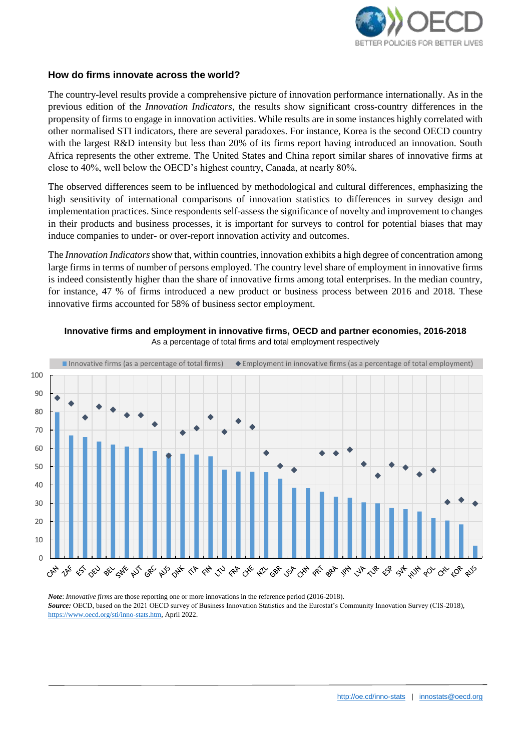

#### **How do firms innovate across the world?**

The country-level results provide a comprehensive picture of innovation performance internationally. As in the previous edition of the *Innovation Indicators*, the results show significant cross-country differences in the propensity of firms to engage in innovation activities. While results are in some instances highly correlated with other normalised STI indicators, there are several paradoxes. For instance, Korea is the second OECD country with the largest R&D intensity but less than 20% of its firms report having introduced an innovation. South Africa represents the other extreme. The United States and China report similar shares of innovative firms at close to 40%, well below the OECD's highest country, Canada, at nearly 80%.

The observed differences seem to be influenced by methodological and cultural differences, emphasizing the high sensitivity of international comparisons of innovation statistics to differences in survey design and implementation practices. Since respondents self-assess the significance of novelty and improvement to changes in their products and business processes, it is important for surveys to control for potential biases that may induce companies to under- or over-report innovation activity and outcomes.

The *Innovation Indicators*show that, within countries, innovation exhibits a high degree of concentration among large firms in terms of number of persons employed. The country level share of employment in innovative firms is indeed consistently higher than the share of innovative firms among total enterprises. In the median country, for instance, 47 % of firms introduced a new product or business process between 2016 and 2018. These innovative firms accounted for 58% of business sector employment.



**Innovative firms and employment in innovative firms, OECD and partner economies, 2016-2018**  As a percentage of total firms and total employment respectively

*Note*: *Innovative firms* are those reporting one or more innovations in the reference period (2016-2018). *Source:* OECD, based on the 2021 OECD survey of Business Innovation Statistics and the Eurostat's Community Innovation Survey (CIS-2018), [https://www.oecd.org/sti/inno-stats.htm,](https://www.oecd.org/sti/inno-stats.htm) April 2022.